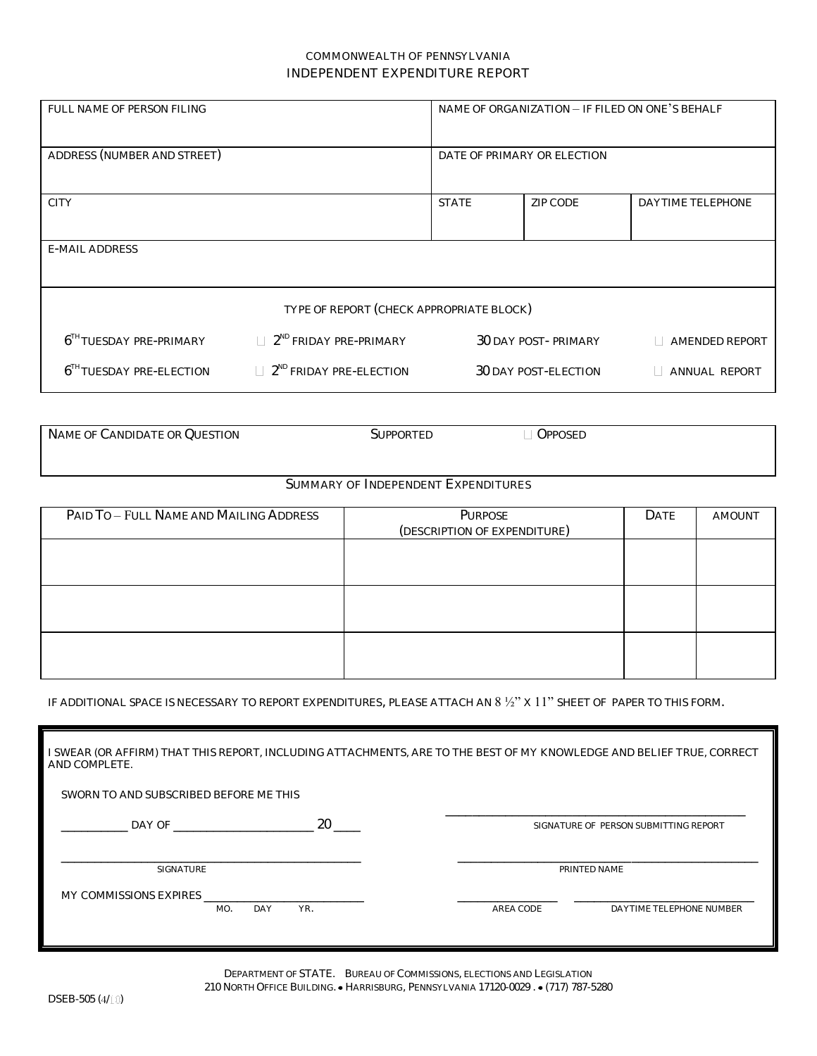## COMMONWEALTH OF PENNSYLVANIA INDEPENDENT EXPENDITURE REPORT

| FULL NAME OF PERSON FILING               |                                           | NAME OF ORGANIZATION - IF FILED ON ONE'S BEHALF |                      |                          |  |  |
|------------------------------------------|-------------------------------------------|-------------------------------------------------|----------------------|--------------------------|--|--|
| ADDRESS (NUMBER AND STREET)              |                                           | DATE OF PRIMARY OR ELECTION                     |                      |                          |  |  |
| <b>CITY</b>                              |                                           | <b>STATE</b>                                    | ZIP CODE             | <b>DAYTIME TELEPHONE</b> |  |  |
| <b>E-MAIL ADDRESS</b>                    |                                           |                                                 |                      |                          |  |  |
| TYPE OF REPORT (CHECK APPROPRIATE BLOCK) |                                           |                                                 |                      |                          |  |  |
| $6TH TUESDAY PRE-PRIMARY$                | $\Box$ 2 <sup>ND</sup> FRIDAY PRE-PRIMARY |                                                 | 30 DAY POST-PRIMARY  | AMENDED REPORT           |  |  |
| 6 <sup>TH</sup> TUESDAY PRE-ELECTION     | 2 <sup>ND</sup> FRIDAY PRE-ELECTION       |                                                 | 30 DAY POST-ELECTION | ANNUAL REPORT            |  |  |

| NAME OF CANDIDATE OR QUESTION        | SUPPORTED | OPPOSED |  |  |
|--------------------------------------|-----------|---------|--|--|
|                                      |           |         |  |  |
|                                      |           |         |  |  |
|                                      |           |         |  |  |
|                                      |           |         |  |  |
| CUMMANDY OF INDEDENDENT EVOEMBITUDES |           |         |  |  |

## SUMMARY OF INDEPENDENT EXPENDITURES

| PAID TO - FULL NAME AND MAILING ADDRESS | PURPOSE<br>(DESCRIPTION OF EXPENDITURE) | DATE | <b>AMOUNT</b> |
|-----------------------------------------|-----------------------------------------|------|---------------|
|                                         |                                         |      |               |
|                                         |                                         |      |               |
|                                         |                                         |      |               |
|                                         |                                         |      |               |
|                                         |                                         |      |               |
|                                         |                                         |      |               |

IF ADDITIONAL SPACE IS NECESSARY TO REPORT EXPENDITURES, PLEASE ATTACH AN  $8\frac{1}{2}$ " x 11" SHEET OF PAPER TO THIS FORM.

| I SWEAR (OR AFFIRM) THAT THIS REPORT, INCLUDING ATTACHMENTS, ARE TO THE BEST OF MY KNOWLEDGE AND BELIEF TRUE, CORRECT<br>AND COMPLETE. |     |                                       |                          |  |
|----------------------------------------------------------------------------------------------------------------------------------------|-----|---------------------------------------|--------------------------|--|
| SWORN TO AND SUBSCRIBED BEFORE ME THIS                                                                                                 |     |                                       |                          |  |
| DAY OF                                                                                                                                 | 20  | SIGNATURE OF PERSON SUBMITTING REPORT |                          |  |
| SIGNATURE                                                                                                                              |     | PRINTED NAME                          |                          |  |
| MY COMMISSIONS EXPIRES<br>MO.<br>DAY                                                                                                   | YR. | AREA CODE                             | DAYTIME TELEPHONE NUMBER |  |
|                                                                                                                                        |     |                                       |                          |  |

DEPARTMENT OF STATE. BUREAU OF COMMISSIONS, ELECTIONS AND LEGISLATION 210 NORTH OFFICE BUILDING. • HARRISBURG, PENNSYLVANIA 17120-0029. • (717) 787-5280